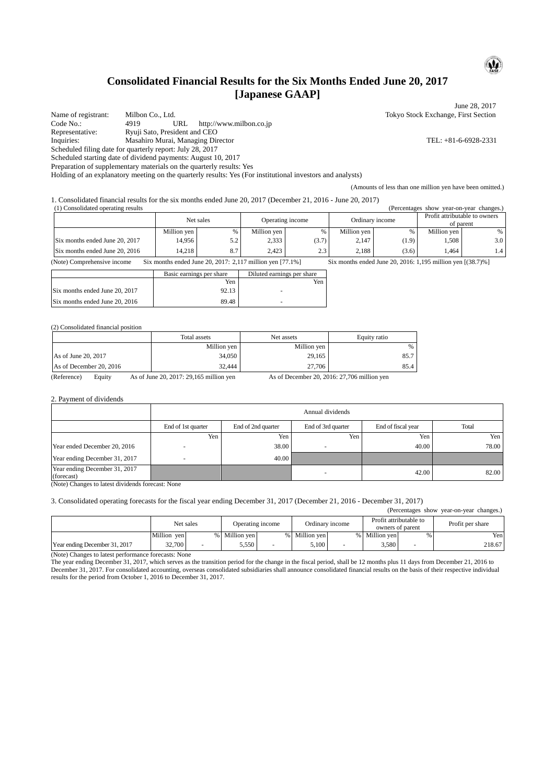# **Consolidated Financial Results for the Six Months Ended June 20, 2017 [Japanese GAAP]**

June 28, 2017 Name of registrant: Milbon Co., Ltd. Tokyo Stock Exchange, First Section<br>
Code No.: 4919 URL http://www.milbon.co.ip http://www.milbon.co.jp Representative: Ryuji Sato, President and CEO<br>Inquiries: Masahiro Murai, Managing Directory Inquiries: Masahiro Murai, Managing Director TEL: +81-6-6928-2331 Scheduled filing date for quarterly report: July 28, 2017 Scheduled starting date of dividend payments: August 10, 2017

Preparation of supplementary materials on the quarterly results: Yes

Holding of an explanatory meeting on the quarterly results: Yes (For institutional investors and analysts)

(Amounts of less than one million yen have been omitted.)

1. Consolidated financial results for the six months ended June 20, 2017 (December 21, 2016 - June 20, 2017)

| (1) Consolidated operating results<br>(Percentages show)<br>year-on-year changes.) |             |     |                  |       |                 |       |               |                                            |
|------------------------------------------------------------------------------------|-------------|-----|------------------|-------|-----------------|-------|---------------|--------------------------------------------|
|                                                                                    | Net sales   |     | Operating income |       | Ordinary income |       |               | Profit attributable to owners<br>of parent |
|                                                                                    | Million yen | %   | Million yen      |       | Million ven     | %     | Million ven l | %                                          |
| Six months ended June 20, 2017                                                     | 14.956      | 5.2 | 2,333            | (3.7) | 2.147           | (1.9) | . 508         | 3.0                                        |
| Six months ended June 20, 2016                                                     | 14.218      | 8.7 | 2.423            | 2.3   | 2.188           | (3.6) | .464          | 1.4                                        |

(Note) Comprehensive income Six months ended June 20, 2017: 2,117 million yen [77.1%] Six months ended June 20, 2016: 1,195 million yen [(38.7)%]

|                                | Basic earnings per share | Diluted earnings per share |
|--------------------------------|--------------------------|----------------------------|
|                                | Yen                      | Yen                        |
| Six months ended June 20, 2017 | 92.13                    |                            |
| Six months ended June 20, 2016 | 89.48                    |                            |

#### (2) Consolidated financial position

|                         | Total assets | Net assets  | Equity ratio |
|-------------------------|--------------|-------------|--------------|
|                         | Million yen  | Million yen | %            |
| As of June 20, 2017     | 34,050       | 29.165      | 85.7         |
| As of December 20, 2016 | 32,444       | 27,706      | 85.4         |

(Reference) Equity As of June 20, 2017: 29,165 million yen As of December 20, 2016: 27,706 million yen

#### 2. Payment of dividends

|                                             | Annual dividends   |                    |                    |                    |       |  |  |  |
|---------------------------------------------|--------------------|--------------------|--------------------|--------------------|-------|--|--|--|
|                                             | End of 1st quarter | End of 2nd quarter | End of 3rd quarter | End of fiscal year | Total |  |  |  |
|                                             | Yen                | Yen                | Yen                | Yen i              | Yen   |  |  |  |
| Year ended December 20, 2016                |                    | 38.00              |                    | 40.00              | 78.00 |  |  |  |
| Year ending December 31, 2017               |                    | 40.00              |                    |                    |       |  |  |  |
| Year ending December 31, 2017<br>(forecast) |                    |                    |                    | 42.00              | 82.00 |  |  |  |

(Note) Changes to latest dividends forecast: None

### 3. Consolidated operating forecasts for the fiscal year ending December 31, 2017 (December 21, 2016 - December 31, 2017)

| (Percentages show year-on-year changes.) |             |                               |             |                 |             |                                            |               |                  |        |
|------------------------------------------|-------------|-------------------------------|-------------|-----------------|-------------|--------------------------------------------|---------------|------------------|--------|
|                                          |             | Net sales<br>Operating income |             | Ordinary income |             | Profit attributable to<br>owners of parent |               | Profit per share |        |
|                                          | Million ven | $\%$                          | Million ven |                 | Million ven |                                            | % Million ven | %                | Yen    |
| Year ending December 31, 2017            | 32,700      |                               | 5.550       |                 | 5.100       | $\overline{\phantom{a}}$                   | 3.580         |                  | 218.67 |

(Note) Changes to latest performance forecasts: None

The year ending December 31, 2017, which serves as the transition period for the change in the fiscal period, shall be 12 months plus 11 days from December 21, 2016 to December 31, 2017. For consolidated accounting, overseas consolidated subsidiaries shall announce consolidated financial results on the basis of their respective individual results for the period from October 1, 2016 to December 31, 2017.

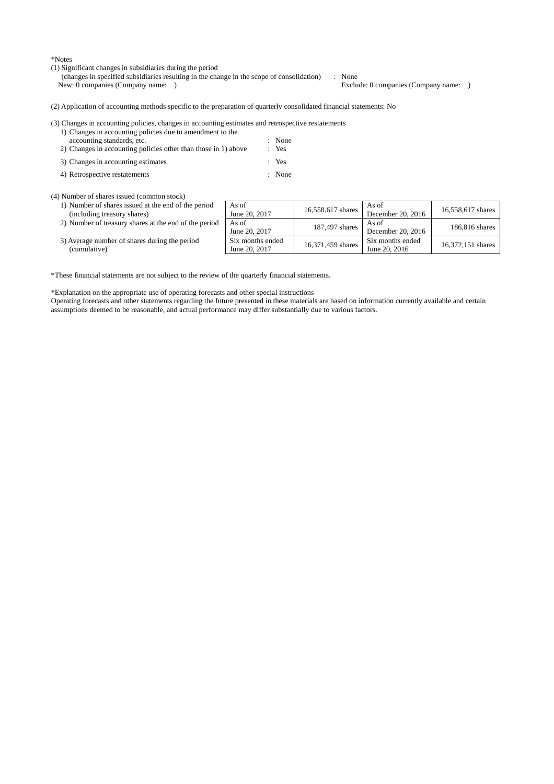\*Notes

- (1) Significant changes in subsidiaries during the period
	- (changes in specified subsidiaries resulting in the change in the scope of consolidation) : None

Exclude: 0 companies (Company name: )

(2) Application of accounting methods specific to the preparation of quarterly consolidated financial statements: No

### (3) Changes in accounting policies, changes in accounting estimates and retrospective restatements

- 1) Changes in accounting policies due to amendment to the accounting standards, etc. : None<br>Changes in accounting policies other than those in 1) above : Yes 2) Changes in accounting policies other than those in  $1$ ) above
- 3) Changes in accounting estimates : Yes
- 4) Retrospective restatements : None

(4) Number of shares issued (common stock)

1) Number of shares issued at the end of the (including treasury shares) 2) Number of treasury shares at the end of th

| period   | As of<br>June 20, 2017            | 16,558,617 shares | As of<br>December 20, 2016        | 16,558,617 shares |
|----------|-----------------------------------|-------------------|-----------------------------------|-------------------|
| e period | As of<br>June 20, 2017            | 187,497 shares    | As of<br>December 20, 2016        | 186,816 shares    |
| эd       | Six months ended<br>June 20, 2017 | 16,371,459 shares | Six months ended<br>June 20, 2016 | 16,372,151 shares |

3) Average number of shares during the period (cumulative)

\*These financial statements are not subject to the review of the quarterly financial statements.

\*Explanation on the appropriate use of operating forecasts and other special instructions

Operating forecasts and other statements regarding the future presented in these materials are based on information currently available and certain assumptions deemed to be reasonable, and actual performance may differ substantially due to various factors.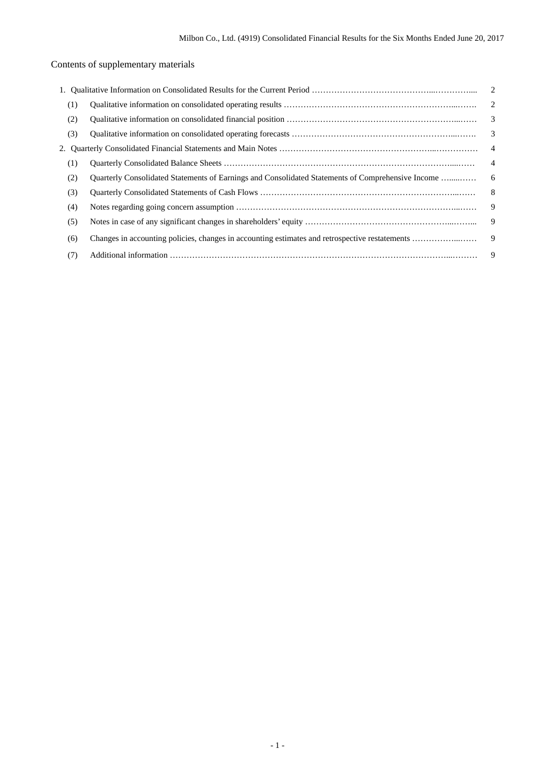# Contents of supplementary materials

| (1) |                                                                                                   | $\overline{2}$ |
|-----|---------------------------------------------------------------------------------------------------|----------------|
| (2) |                                                                                                   |                |
| (3) |                                                                                                   |                |
|     |                                                                                                   | $\overline{4}$ |
| (1) |                                                                                                   | $\overline{4}$ |
| (2) | Quarterly Consolidated Statements of Earnings and Consolidated Statements of Comprehensive Income | 6              |
| (3) |                                                                                                   | 8              |
| (4) |                                                                                                   | 9              |
| (5) |                                                                                                   | 9              |
| (6) | Changes in accounting policies, changes in accounting estimates and retrospective restatements    | 9              |
| (7) |                                                                                                   | 9              |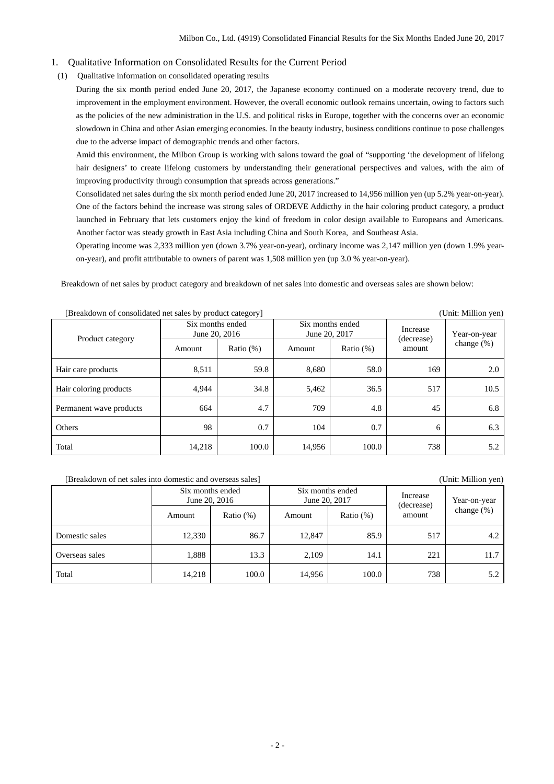## 1. Qualitative Information on Consolidated Results for the Current Period

(1) Qualitative information on consolidated operating results

During the six month period ended June 20, 2017, the Japanese economy continued on a moderate recovery trend, due to improvement in the employment environment. However, the overall economic outlook remains uncertain, owing to factors such as the policies of the new administration in the U.S. and political risks in Europe, together with the concerns over an economic slowdown in China and other Asian emerging economies. In the beauty industry, business conditions continue to pose challenges due to the adverse impact of demographic trends and other factors.

Amid this environment, the Milbon Group is working with salons toward the goal of "supporting 'the development of lifelong hair designers' to create lifelong customers by understanding their generational perspectives and values, with the aim of improving productivity through consumption that spreads across generations."

Consolidated net sales during the six month period ended June 20, 2017 increased to 14,956 million yen (up 5.2% year-on-year). One of the factors behind the increase was strong sales of ORDEVE Addicthy in the hair coloring product category, a product launched in February that lets customers enjoy the kind of freedom in color design available to Europeans and Americans. Another factor was steady growth in East Asia including China and South Korea, and Southeast Asia.

Operating income was 2,333 million yen (down 3.7% year-on-year), ordinary income was 2,147 million yen (down 1.9% yearon-year), and profit attributable to owners of parent was 1,508 million yen (up 3.0 % year-on-year).

Breakdown of net sales by product category and breakdown of net sales into domestic and overseas sales are shown below:

| Product category        | Six months ended<br>June 20, 2016 | ---          | Six months ended<br>June 20, 2017 |              | Increase<br>(decrease) | Year-on-year<br>change $(\%)$ |
|-------------------------|-----------------------------------|--------------|-----------------------------------|--------------|------------------------|-------------------------------|
|                         | Amount                            | Ratio $(\%)$ | Amount                            | Ratio $(\%)$ | amount                 |                               |
| Hair care products      | 8,511                             | 59.8         | 8,680                             | 58.0         | 169                    | 2.0                           |
| Hair coloring products  | 4,944                             | 34.8         | 5,462                             | 36.5         | 517                    | 10.5                          |
| Permanent wave products | 664                               | 4.7          | 709                               | 4.8          | 45                     | 6.8                           |
| Others                  | 98                                | 0.7          | 104                               | 0.7          | 6                      | 6.3                           |
| Total                   | 14,218                            | 100.0        | 14,956                            | 100.0        | 738                    | 5.2                           |

[Breakdown of consolidated net sales by product category] (Unit: Million yen)

(Unit: Million yen)

|                | Six months ended | June 20, 2016 |        | Six months ended<br>June 20, 2017 | Increase<br>(decrease) | Year-on-year  |
|----------------|------------------|---------------|--------|-----------------------------------|------------------------|---------------|
|                | Amount           | Ratio $(\%)$  | Amount | Ratio $(\%)$                      | amount                 | change $(\%)$ |
| Domestic sales | 12,330           | 86.7          | 12.847 | 85.9                              | 517                    | 4.2           |
| Overseas sales | 1.888            | 13.3          | 2.109  | 14.1                              | 221                    | 11.7          |
| Total          | 14,218           | 100.0         | 14,956 | 100.0                             | 738                    | 5.2           |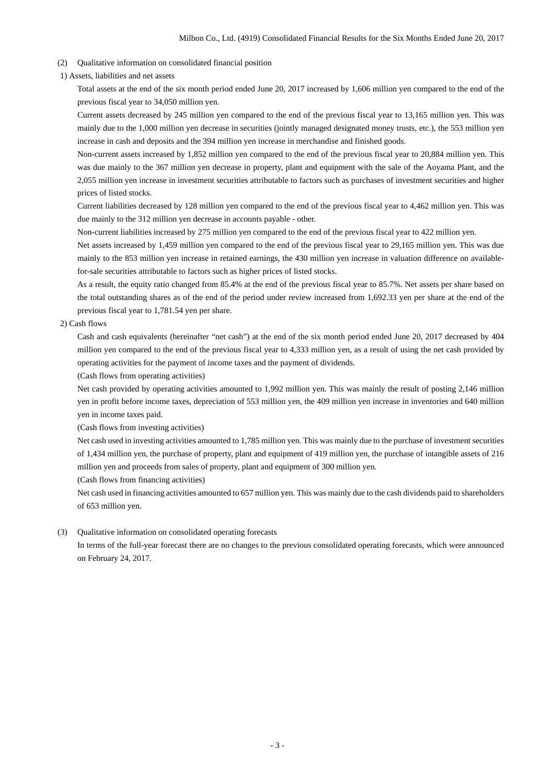- (2) Qualitative information on consolidated financial position
- 1) Assets, liabilities and net assets

Total assets at the end of the six month period ended June 20, 2017 increased by 1,606 million yen compared to the end of the previous fiscal year to 34,050 million yen.

Current assets decreased by 245 million yen compared to the end of the previous fiscal year to 13,165 million yen. This was mainly due to the 1,000 million yen decrease in securities (jointly managed designated money trusts, etc.), the 553 million yen increase in cash and deposits and the 394 million yen increase in merchandise and finished goods.

Non-current assets increased by 1,852 million yen compared to the end of the previous fiscal year to 20,884 million yen. This was due mainly to the 367 million yen decrease in property, plant and equipment with the sale of the Aoyama Plant, and the 2,055 million yen increase in investment securities attributable to factors such as purchases of investment securities and higher prices of listed stocks.

Current liabilities decreased by 128 million yen compared to the end of the previous fiscal year to 4,462 million yen. This was due mainly to the 312 million yen decrease in accounts payable - other.

Non-current liabilities increased by 275 million yen compared to the end of the previous fiscal year to 422 million yen.

Net assets increased by 1,459 million yen compared to the end of the previous fiscal year to 29,165 million yen. This was due mainly to the 853 million yen increase in retained earnings, the 430 million yen increase in valuation difference on availablefor-sale securities attributable to factors such as higher prices of listed stocks.

As a result, the equity ratio changed from 85.4% at the end of the previous fiscal year to 85.7%. Net assets per share based on the total outstanding shares as of the end of the period under review increased from 1,692.33 yen per share at the end of the previous fiscal year to 1,781.54 yen per share.

## 2) Cash flows

Cash and cash equivalents (hereinafter "net cash") at the end of the six month period ended June 20, 2017 decreased by 404 million yen compared to the end of the previous fiscal year to 4,333 million yen, as a result of using the net cash provided by operating activities for the payment of income taxes and the payment of dividends.

(Cash flows from operating activities)

Net cash provided by operating activities amounted to 1,992 million yen. This was mainly the result of posting 2,146 million yen in profit before income taxes, depreciation of 553 million yen, the 409 million yen increase in inventories and 640 million yen in income taxes paid.

(Cash flows from investing activities)

Net cash used in investing activities amounted to 1,785 million yen. This was mainly due to the purchase of investment securities of 1,434 million yen, the purchase of property, plant and equipment of 419 million yen, the purchase of intangible assets of 216 million yen and proceeds from sales of property, plant and equipment of 300 million yen.

(Cash flows from financing activities)

Net cash used in financing activities amounted to 657 million yen. This was mainly due to the cash dividends paid to shareholders of 653 million yen.

## (3) Qualitative information on consolidated operating forecasts

In terms of the full-year forecast there are no changes to the previous consolidated operating forecasts, which were announced on February 24, 2017.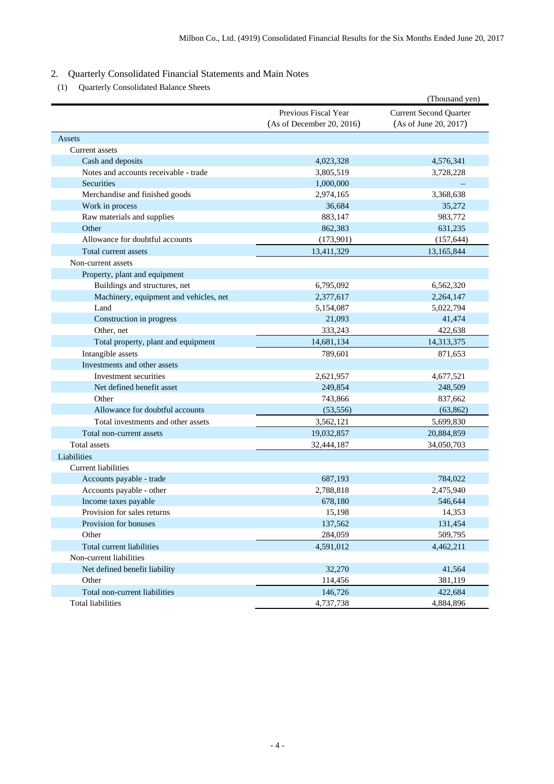# 2. Quarterly Consolidated Financial Statements and Main Notes

(1) Quarterly Consolidated Balance Sheets

|                                        |                                                   | (Thousand yen)                                         |
|----------------------------------------|---------------------------------------------------|--------------------------------------------------------|
|                                        | Previous Fiscal Year<br>(As of December 20, 2016) | <b>Current Second Quarter</b><br>(As of June 20, 2017) |
| Assets                                 |                                                   |                                                        |
| Current assets                         |                                                   |                                                        |
| Cash and deposits                      | 4,023,328                                         | 4,576,341                                              |
| Notes and accounts receivable - trade  | 3,805,519                                         | 3,728,228                                              |
| Securities                             | 1,000,000                                         |                                                        |
| Merchandise and finished goods         | 2,974,165                                         | 3,368,638                                              |
| Work in process                        | 36,684                                            | 35,272                                                 |
| Raw materials and supplies             | 883,147                                           | 983,772                                                |
| Other                                  | 862,383                                           | 631,235                                                |
| Allowance for doubtful accounts        | (173,901)                                         | (157, 644)                                             |
| Total current assets                   | 13,411,329                                        | 13,165,844                                             |
| Non-current assets                     |                                                   |                                                        |
| Property, plant and equipment          |                                                   |                                                        |
| Buildings and structures, net          | 6,795,092                                         | 6,562,320                                              |
| Machinery, equipment and vehicles, net | 2,377,617                                         | 2,264,147                                              |
| Land                                   | 5,154,087                                         | 5,022,794                                              |
| Construction in progress               | 21,093                                            | 41,474                                                 |
| Other, net                             | 333,243                                           | 422,638                                                |
| Total property, plant and equipment    | 14,681,134                                        | 14,313,375                                             |
| Intangible assets                      | 789,601                                           | 871,653                                                |
| Investments and other assets           |                                                   |                                                        |
| Investment securities                  | 2,621,957                                         | 4,677,521                                              |
| Net defined benefit asset              | 249,854                                           | 248,509                                                |
| Other                                  | 743,866                                           | 837,662                                                |
| Allowance for doubtful accounts        | (53, 556)                                         | (63, 862)                                              |
| Total investments and other assets     | 3,562,121                                         | 5,699,830                                              |
| Total non-current assets               | 19,032,857                                        | 20,884,859                                             |
| <b>Total assets</b>                    | 32,444,187                                        | 34,050,703                                             |
| Liabilities                            |                                                   |                                                        |
| <b>Current liabilities</b>             |                                                   |                                                        |
| Accounts payable - trade               | 687,193                                           | 784,022                                                |
| Accounts payable - other               | 2,788,818                                         | 2,475,940                                              |
| Income taxes payable                   | 678,180                                           | 546,644                                                |
| Provision for sales returns            | 15,198                                            | 14,353                                                 |
| Provision for bonuses                  | 137,562                                           | 131,454                                                |
| Other                                  | 284,059                                           | 509,795                                                |
| Total current liabilities              | 4,591,012                                         | 4,462,211                                              |
| Non-current liabilities                |                                                   |                                                        |
| Net defined benefit liability          | 32,270                                            | 41,564                                                 |
| Other                                  | 114,456                                           | 381,119                                                |
| Total non-current liabilities          | 146,726                                           | 422,684                                                |
| <b>Total liabilities</b>               | 4,737,738                                         | 4,884,896                                              |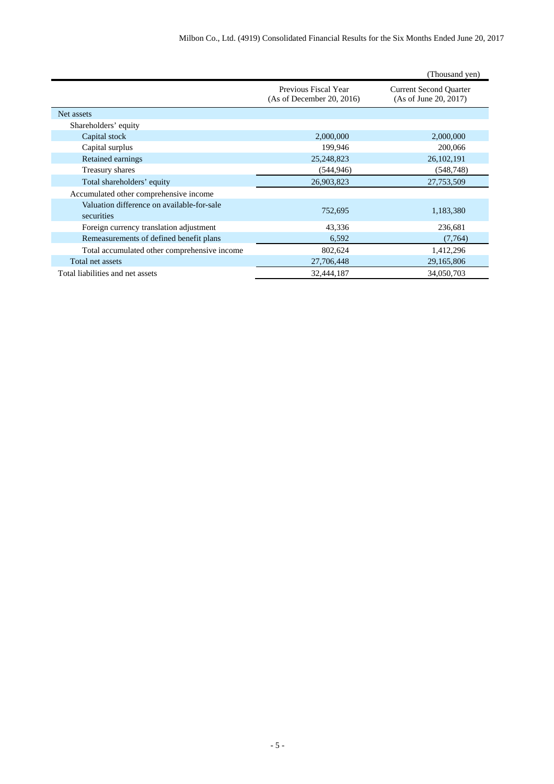|                                                          |                                                   | (Thousand yen)                                         |
|----------------------------------------------------------|---------------------------------------------------|--------------------------------------------------------|
|                                                          | Previous Fiscal Year<br>(As of December 20, 2016) | <b>Current Second Quarter</b><br>(As of June 20, 2017) |
| Net assets                                               |                                                   |                                                        |
| Shareholders' equity                                     |                                                   |                                                        |
| Capital stock                                            | 2,000,000                                         | 2,000,000                                              |
| Capital surplus                                          | 199,946                                           | 200,066                                                |
| Retained earnings                                        | 25,248,823                                        | 26, 102, 191                                           |
| Treasury shares                                          | (544, 946)                                        | (548, 748)                                             |
| Total shareholders' equity                               | 26,903,823                                        | 27,753,509                                             |
| Accumulated other comprehensive income                   |                                                   |                                                        |
| Valuation difference on available-for-sale<br>securities | 752,695                                           | 1,183,380                                              |
| Foreign currency translation adjustment                  | 43,336                                            | 236,681                                                |
| Remeasurements of defined benefit plans                  | 6,592                                             | (7,764)                                                |
| Total accumulated other comprehensive income             | 802,624                                           | 1,412,296                                              |
| Total net assets                                         | 27,706,448                                        | 29,165,806                                             |
| Total liabilities and net assets                         | 32,444,187                                        | 34,050,703                                             |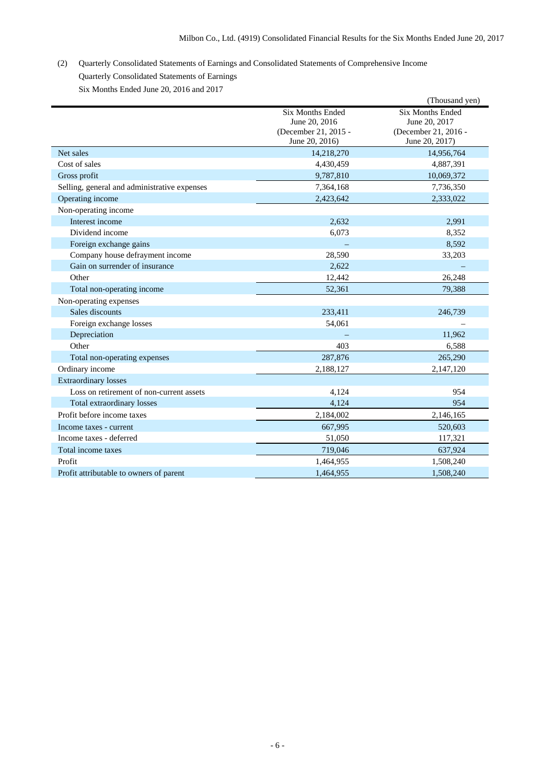# (2) Quarterly Consolidated Statements of Earnings and Consolidated Statements of Comprehensive Income Quarterly Consolidated Statements of Earnings Six Months Ended June 20, 2016 and 2017

|                                              |                                                                                    | (Thousand yen)                                                                     |
|----------------------------------------------|------------------------------------------------------------------------------------|------------------------------------------------------------------------------------|
|                                              | <b>Six Months Ended</b><br>June 20, 2016<br>(December 21, 2015 -<br>June 20, 2016) | <b>Six Months Ended</b><br>June 20, 2017<br>(December 21, 2016 -<br>June 20, 2017) |
| Net sales                                    | 14,218,270                                                                         | 14,956,764                                                                         |
| Cost of sales                                | 4,430,459                                                                          | 4,887,391                                                                          |
| Gross profit                                 | 9,787,810                                                                          | 10,069,372                                                                         |
| Selling, general and administrative expenses | 7,364,168                                                                          | 7,736,350                                                                          |
| Operating income                             | 2,423,642                                                                          | 2,333,022                                                                          |
| Non-operating income                         |                                                                                    |                                                                                    |
| Interest income                              | 2,632                                                                              | 2,991                                                                              |
| Dividend income                              | 6,073                                                                              | 8,352                                                                              |
| Foreign exchange gains                       |                                                                                    | 8,592                                                                              |
| Company house defrayment income              | 28,590                                                                             | 33,203                                                                             |
| Gain on surrender of insurance               | 2.622                                                                              |                                                                                    |
| Other                                        | 12,442                                                                             | 26,248                                                                             |
| Total non-operating income                   | 52,361                                                                             | 79,388                                                                             |
| Non-operating expenses                       |                                                                                    |                                                                                    |
| Sales discounts                              | 233,411                                                                            | 246,739                                                                            |
| Foreign exchange losses                      | 54,061                                                                             |                                                                                    |
| Depreciation                                 |                                                                                    | 11,962                                                                             |
| Other                                        | 403                                                                                | 6,588                                                                              |
| Total non-operating expenses                 | 287,876                                                                            | 265,290                                                                            |
| Ordinary income                              | 2.188.127                                                                          | 2,147,120                                                                          |
| <b>Extraordinary losses</b>                  |                                                                                    |                                                                                    |
| Loss on retirement of non-current assets     | 4,124                                                                              | 954                                                                                |
| Total extraordinary losses                   | 4,124                                                                              | 954                                                                                |
| Profit before income taxes                   | 2,184,002                                                                          | 2,146,165                                                                          |
| Income taxes - current                       | 667,995                                                                            | 520,603                                                                            |
| Income taxes - deferred                      | 51,050                                                                             | 117,321                                                                            |
| Total income taxes                           | 719,046                                                                            | 637,924                                                                            |
| Profit                                       | 1,464,955                                                                          | 1,508,240                                                                          |
| Profit attributable to owners of parent      | 1,464,955                                                                          | 1,508,240                                                                          |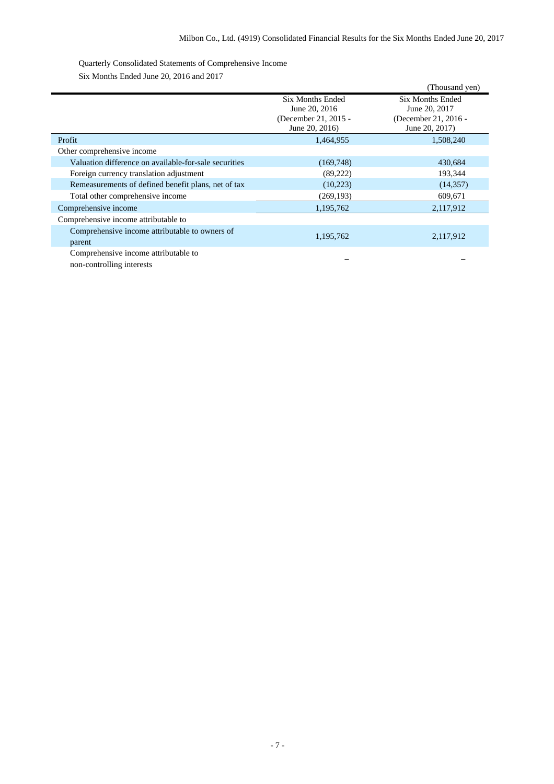## Quarterly Consolidated Statements of Comprehensive Income

Six Months Ended June 20, 2016 and 2017

|                                                          |                                                                  | (Thousand yen)                                                   |
|----------------------------------------------------------|------------------------------------------------------------------|------------------------------------------------------------------|
|                                                          | <b>Six Months Ended</b><br>June 20, 2016<br>(December 21, 2015 - | <b>Six Months Ended</b><br>June 20, 2017<br>(December 21, 2016 - |
|                                                          | June 20, 2016)                                                   | June 20, 2017)                                                   |
| Profit                                                   | 1,464,955                                                        | 1,508,240                                                        |
| Other comprehensive income                               |                                                                  |                                                                  |
| Valuation difference on available-for-sale securities    | (169, 748)                                                       | 430,684                                                          |
| Foreign currency translation adjustment                  | (89, 222)                                                        | 193,344                                                          |
| Remeasurements of defined benefit plans, net of tax      | (10,223)                                                         | (14, 357)                                                        |
| Total other comprehensive income                         | (269, 193)                                                       | 609,671                                                          |
| Comprehensive income                                     | 1,195,762                                                        | 2,117,912                                                        |
| Comprehensive income attributable to                     |                                                                  |                                                                  |
| Comprehensive income attributable to owners of<br>parent | 1,195,762                                                        | 2,117,912                                                        |
| Comprehensive income attributable to                     |                                                                  |                                                                  |

non-controlling interests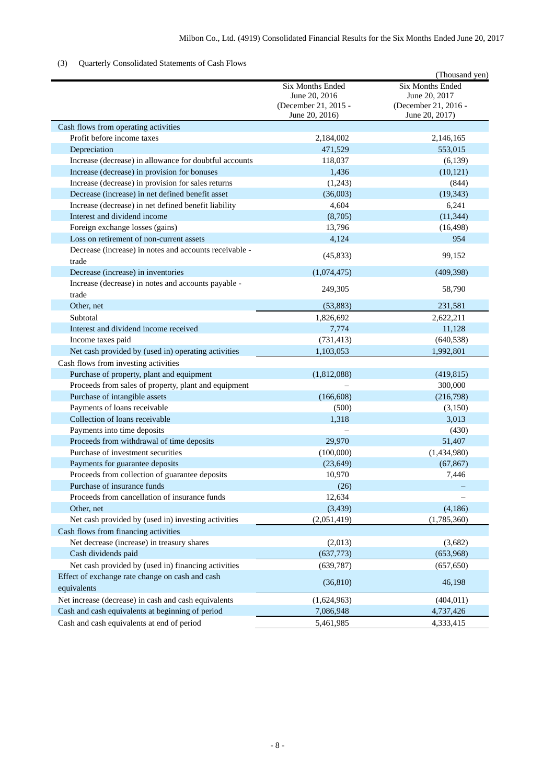## (3) Quarterly Consolidated Statements of Cash Flows

|                                                              |                                                                             | (Thousand yen)                                                                     |
|--------------------------------------------------------------|-----------------------------------------------------------------------------|------------------------------------------------------------------------------------|
|                                                              | Six Months Ended<br>June 20, 2016<br>(December 21, 2015 -<br>June 20, 2016) | <b>Six Months Ended</b><br>June 20, 2017<br>(December 21, 2016 -<br>June 20, 2017) |
| Cash flows from operating activities                         |                                                                             |                                                                                    |
| Profit before income taxes                                   | 2,184,002                                                                   | 2,146,165                                                                          |
| Depreciation                                                 | 471,529                                                                     | 553,015                                                                            |
| Increase (decrease) in allowance for doubtful accounts       | 118,037                                                                     | (6, 139)                                                                           |
| Increase (decrease) in provision for bonuses                 | 1,436                                                                       | (10, 121)                                                                          |
| Increase (decrease) in provision for sales returns           | (1,243)                                                                     | (844)                                                                              |
| Decrease (increase) in net defined benefit asset             | (36,003)                                                                    | (19, 343)                                                                          |
| Increase (decrease) in net defined benefit liability         | 4,604                                                                       | 6,241                                                                              |
| Interest and dividend income                                 | (8,705)                                                                     | (11, 344)                                                                          |
| Foreign exchange losses (gains)                              | 13,796                                                                      | (16, 498)                                                                          |
| Loss on retirement of non-current assets                     | 4,124                                                                       | 954                                                                                |
| Decrease (increase) in notes and accounts receivable -       | (45, 833)                                                                   | 99,152                                                                             |
| trade                                                        |                                                                             |                                                                                    |
| Decrease (increase) in inventories                           | (1,074,475)                                                                 | (409, 398)                                                                         |
| Increase (decrease) in notes and accounts payable -<br>trade | 249,305                                                                     | 58,790                                                                             |
| Other, net                                                   | (53, 883)                                                                   | 231,581                                                                            |
| Subtotal                                                     | 1,826,692                                                                   | 2,622,211                                                                          |
| Interest and dividend income received                        | 7,774                                                                       | 11,128                                                                             |
| Income taxes paid                                            | (731, 413)                                                                  | (640, 538)                                                                         |
| Net cash provided by (used in) operating activities          | 1,103,053                                                                   | 1,992,801                                                                          |
| Cash flows from investing activities                         |                                                                             |                                                                                    |
| Purchase of property, plant and equipment                    | (1,812,088)                                                                 | (419, 815)                                                                         |
| Proceeds from sales of property, plant and equipment         |                                                                             | 300,000                                                                            |
| Purchase of intangible assets                                | (166, 608)                                                                  | (216,798)                                                                          |
| Payments of loans receivable                                 | (500)                                                                       | (3,150)                                                                            |
| Collection of loans receivable                               | 1,318                                                                       | 3,013                                                                              |
| Payments into time deposits                                  |                                                                             | (430)                                                                              |
| Proceeds from withdrawal of time deposits                    | 29,970                                                                      | 51,407                                                                             |
| Purchase of investment securities                            | (100,000)                                                                   | (1,434,980)                                                                        |
| Payments for guarantee deposits                              | (23, 649)                                                                   | (67, 867)                                                                          |
| Proceeds from collection of guarantee deposits               | 10,970                                                                      | 7,446                                                                              |
| Purchase of insurance funds                                  | (26)                                                                        |                                                                                    |
| Proceeds from cancellation of insurance funds                | 12,634                                                                      |                                                                                    |
| Other, net                                                   | (3, 439)                                                                    | (4,186)                                                                            |
| Net cash provided by (used in) investing activities          | (2,051,419)                                                                 | (1,785,360)                                                                        |
| Cash flows from financing activities                         |                                                                             |                                                                                    |
| Net decrease (increase) in treasury shares                   | (2,013)                                                                     | (3,682)                                                                            |
| Cash dividends paid                                          | (637,773)                                                                   | (653,968)                                                                          |
| Net cash provided by (used in) financing activities          | (639, 787)                                                                  | (657, 650)                                                                         |
| Effect of exchange rate change on cash and cash              |                                                                             |                                                                                    |
| equivalents                                                  | (36, 810)                                                                   | 46,198                                                                             |
| Net increase (decrease) in cash and cash equivalents         | (1,624,963)                                                                 | (404, 011)                                                                         |
| Cash and cash equivalents at beginning of period             | 7,086,948                                                                   | 4,737,426                                                                          |
| Cash and cash equivalents at end of period                   | 5,461,985                                                                   | 4,333,415                                                                          |